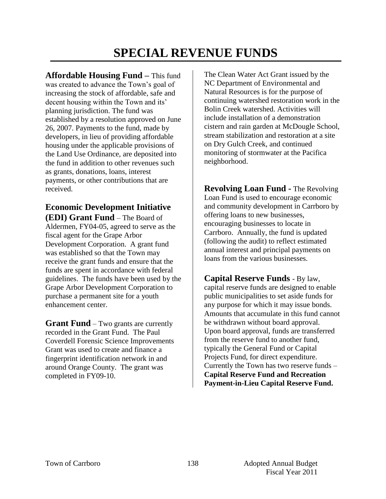#### **SPECIAL REVENUE FUNDS**

**Affordable Housing Fund –** This fund was created to advance the Town's goal of increasing the stock of affordable, safe and decent housing within the Town and its' planning jurisdiction. The fund was established by a resolution approved on June 26, 2007. Payments to the fund, made by developers, in lieu of providing affordable housing under the applicable provisions of the Land Use Ordinance, are deposited into the fund in addition to other revenues such as grants, donations, loans, interest payments, or other contributions that are received.

#### **Economic Development Initiative (EDI) Grant Fund** – The Board of

Aldermen, FY04-05, agreed to serve as the fiscal agent for the Grape Arbor Development Corporation. A grant fund was established so that the Town may receive the grant funds and ensure that the funds are spent in accordance with federal guidelines. The funds have been used by the Grape Arbor Development Corporation to purchase a permanent site for a youth enhancement center.

**Grant Fund** – Two grants are currently recorded in the Grant Fund. The Paul Coverdell Forensic Science Improvements Grant was used to create and finance a fingerprint identification network in and around Orange County. The grant was completed in FY09-10.

The Clean Water Act Grant issued by the NC Department of Environmental and Natural Resources is for the purpose of continuing watershed restoration work in the Bolin Creek watershed. Activities will include installation of a demonstration cistern and rain garden at McDougle School, stream stabilization and restoration at a site on Dry Gulch Creek, and continued monitoring of stormwater at the Pacifica neighborhood.

**Revolving Loan Fund -** The Revolving Loan Fund is used to encourage economic and community development in Carrboro by offering loans to new businesses, encouraging businesses to locate in Carrboro. Annually, the fund is updated (following the audit) to reflect estimated annual interest and principal payments on loans from the various businesses.

**Capital Reserve Funds** *-* By law, capital reserve funds are designed to enable public municipalities to set aside funds for any purpose for which it may issue bonds. Amounts that accumulate in this fund cannot be withdrawn without board approval. Upon board approval, funds are transferred from the reserve fund to another fund, typically the General Fund or Capital Projects Fund, for direct expenditure. Currently the Town has two reserve funds – **Capital Reserve Fund and Recreation Payment-in-Lieu Capital Reserve Fund.**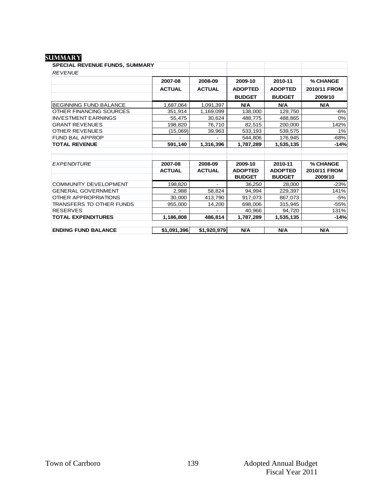#### **summary**

| SPECIAL REVENUE FUNDS, SUMMARY  |               |               |                |                |              |
|---------------------------------|---------------|---------------|----------------|----------------|--------------|
| <b>REVENUE</b>                  |               |               |                |                |              |
|                                 | 2007-08       | 2008-09       | 2009-10        | 2010-11        | % CHANGE     |
|                                 | <b>ACTUAL</b> | <b>ACTUAL</b> | <b>ADOPTED</b> | <b>ADOPTED</b> | 2010/11 FROM |
|                                 |               |               | <b>BUDGET</b>  | <b>BUDGET</b>  | 2009/10      |
| BEGINNING FUND BALANCE          | 1,687,064     | 1,091,397     | N/A            | N/A            | N/A          |
| OTHER FINANCING SOURCES         | 351,914       | 1,169,099     | 138,000        | 129,750        | $-6%$        |
| <b>INVESTMENT EARNINGS</b>      | 55,475        | 30,624        | 488,775        | 488,865        | 0%           |
| <b>GRANT REVENUES</b>           | 198,820       | 76,710        | 82,515         | 200,000        | 142%         |
| <b>OTHER REVENUES</b>           | (15,069)      | 39,963        | 533,193        | 539,575        | 1%           |
| <b>FUND BAL APPROP</b>          |               |               | 544,806        | 176,945        | $-68%$       |
| <b>TOTAL REVENUE</b>            | 591,140       | 1,316,396     | 1,787,289      | 1,535,135      | $-14%$       |
|                                 |               |               |                |                |              |
|                                 |               |               |                |                |              |
| <b>EXPENDITURE</b>              | 2007-08       | 2008-09       | 2009-10        | 2010-11        | % CHANGE     |
|                                 | <b>ACTUAL</b> | <b>ACTUAL</b> | <b>ADOPTED</b> | <b>ADOPTED</b> | 2010/11 FROM |
|                                 |               |               | <b>BUDGET</b>  | <b>BUDGET</b>  | 2009/10      |
| <b>COMMUNITY DEVELOPMENT</b>    | 198,820       |               | 36,250         | 28,000         | $-23%$       |
| <b>GENERAL GOVERNMENT</b>       | 2,988         | 58,824        | 94,994         | 229,397        | 141%         |
| OTHER APPROPRIATIONS            | 30,000        | 413,790       | 917,073        | 867,073        | $-5%$        |
| <b>TRANSFERS TO OTHER FUNDS</b> | 955,000       | 14,200        | 698,006        | 315,945        | $-55%$       |
| <b>RESERVES</b>                 |               |               | 40,966         | 94,720         | 131%         |
| <b>TOTAL EXPENDITURES</b>       | 1,186,808     | 486,814       | 1,787,289      | 1,535,135      | $-14%$       |
|                                 |               |               |                |                |              |
| <b>ENDING FUND BALANCE</b>      | \$1,091,396   | \$1,920,979   | N/A            | N/A            | <b>N/A</b>   |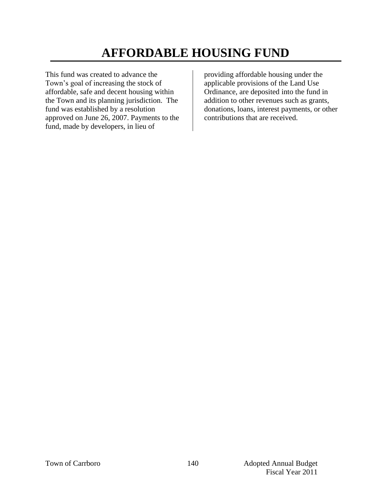# **AFFORDABLE HOUSING FUND**

This fund was created to advance the Town's goal of increasing the stock of affordable, safe and decent housing within the Town and its planning jurisdiction. The fund was established by a resolution approved on June 26, 2007. Payments to the fund, made by developers, in lieu of

providing affordable housing under the applicable provisions of the Land Use Ordinance, are deposited into the fund in addition to other revenues such as grants, donations, loans, interest payments, or other contributions that are received.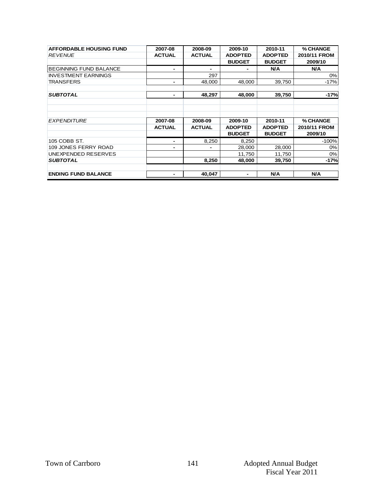| <b>AFFORDABLE HOUSING FUND</b><br><b>REVENUE</b> | 2007-08<br><b>ACTUAL</b> | 2008-09<br><b>ACTUAL</b> | 2009-10<br><b>ADOPTED</b><br><b>BUDGET</b> | 2010-11<br><b>ADOPTED</b><br><b>BUDGET</b> | % CHANGE<br>2010/11 FROM<br>2009/10 |
|--------------------------------------------------|--------------------------|--------------------------|--------------------------------------------|--------------------------------------------|-------------------------------------|
| <b>BEGINNING FUND BALANCE</b>                    |                          | $\blacksquare$           |                                            | <b>N/A</b>                                 | <b>N/A</b>                          |
| <b>INVESTMENT EARNINGS</b>                       |                          | 297                      |                                            |                                            | 0%                                  |
| <b>TRANSFERS</b>                                 | $\blacksquare$           | 48,000                   | 48,000                                     | 39,750                                     | $-17%$                              |
| <b>SUBTOTAL</b>                                  | $\blacksquare$           | 48,297                   | 48,000                                     | 39,750                                     | $-17%$                              |
|                                                  |                          |                          |                                            |                                            |                                     |
| <b>EXPENDITURE</b>                               | 2007-08                  | 2008-09                  | 2009-10                                    | 2010-11                                    | % CHANGE                            |
|                                                  | <b>ACTUAL</b>            | <b>ACTUAL</b>            | <b>ADOPTED</b>                             | <b>ADOPTED</b>                             | 2010/11 FROM                        |
|                                                  |                          |                          | <b>BUDGET</b>                              | <b>BUDGET</b>                              | 2009/10                             |
| 105 COBB ST.                                     |                          | 8,250                    | 8,250                                      |                                            | $-100%$                             |
| 109 JONES FERRY ROAD                             |                          | $\blacksquare$           | 28,000                                     | 28,000                                     | 0%                                  |
| UNEXPENDED RESERVES                              |                          |                          | 11,750                                     | 11,750                                     | 0%                                  |
| <b>SUBTOTAL</b>                                  |                          | 8,250                    | 48,000                                     | 39,750                                     | -17%                                |
|                                                  |                          |                          |                                            |                                            |                                     |
| <b>ENDING FUND BALANCE</b>                       |                          | 40,047                   | -                                          | <b>N/A</b>                                 | <b>N/A</b>                          |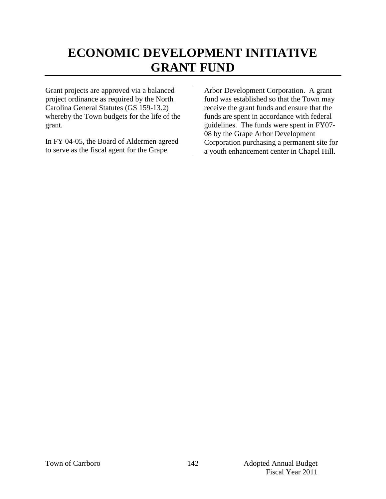### **ECONOMIC DEVELOPMENT INITIATIVE GRANT FUND**

Grant projects are approved via a balanced project ordinance as required by the North Carolina General Statutes (GS 159-13.2) whereby the Town budgets for the life of the grant.

In FY 04-05, the Board of Aldermen agreed to serve as the fiscal agent for the Grape

Arbor Development Corporation. A grant fund was established so that the Town may receive the grant funds and ensure that the funds are spent in accordance with federal guidelines. The funds were spent in FY07- 08 by the Grape Arbor Development Corporation purchasing a permanent site for a youth enhancement center in Chapel Hill.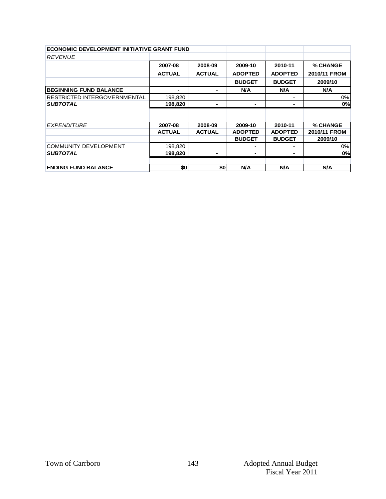| <b>ECONOMIC DEVELOPMENT INITIATIVE GRANT FUND</b> |               |               |                |                |              |
|---------------------------------------------------|---------------|---------------|----------------|----------------|--------------|
| <b>REVENUE</b>                                    |               |               |                |                |              |
|                                                   | 2007-08       | 2008-09       | 2009-10        | 2010-11        | % CHANGE     |
|                                                   | <b>ACTUAL</b> | <b>ACTUAL</b> | <b>ADOPTED</b> | <b>ADOPTED</b> | 2010/11 FROM |
|                                                   |               |               | <b>BUDGET</b>  | <b>BUDGET</b>  | 2009/10      |
| <b>BEGINNING FUND BALANCE</b>                     |               | Ξ.            | <b>N/A</b>     | N/A            | N/A          |
| <b>RESTRICTED INTERGOVERNMENTAL</b>               | 198,820       |               |                |                | 0%           |
| <b>SUBTOTAL</b>                                   | 198,820       |               |                |                | 0%           |
|                                                   |               |               |                |                |              |
|                                                   |               |               |                |                |              |
|                                                   |               |               |                |                |              |
| <b>EXPENDITURE</b>                                | 2007-08       | 2008-09       | 2009-10        | 2010-11        | % CHANGE     |
|                                                   | <b>ACTUAL</b> | <b>ACTUAL</b> | <b>ADOPTED</b> | <b>ADOPTED</b> | 2010/11 FROM |
|                                                   |               |               | <b>BUDGET</b>  | <b>BUDGET</b>  | 2009/10      |
| <b>COMMUNITY DEVELOPMENT</b>                      | 198,820       |               |                |                | 0%           |
| <b>SUBTOTAL</b>                                   | 198,820       | ٠             |                |                |              |
|                                                   |               |               |                |                | 0%           |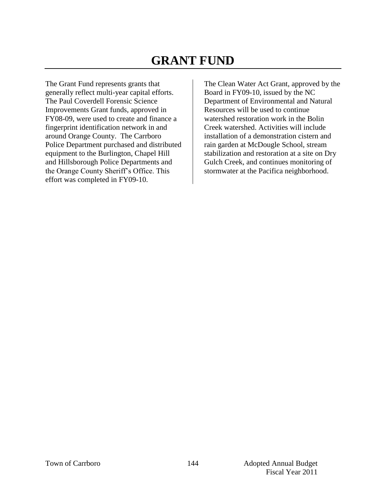### **GRANT FUND**

The Grant Fund represents grants that generally reflect multi-year capital efforts. The Paul Coverdell Forensic Science Improvements Grant funds, approved in FY08-09, were used to create and finance a fingerprint identification network in and around Orange County. The Carrboro Police Department purchased and distributed equipment to the Burlington, Chapel Hill and Hillsborough Police Departments and the Orange County Sheriff's Office. This effort was completed in FY09-10.

The Clean Water Act Grant, approved by the Board in FY09-10, issued by the NC Department of Environmental and Natural Resources will be used to continue watershed restoration work in the Bolin Creek watershed. Activities will include installation of a demonstration cistern and rain garden at McDougle School, stream stabilization and restoration at a site on Dry Gulch Creek, and continues monitoring of stormwater at the Pacifica neighborhood.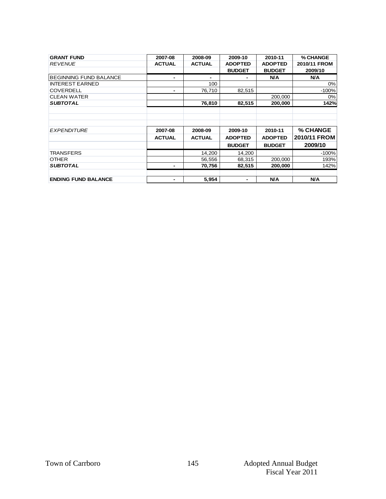| <b>GRANT FUND</b>              | 2007-08       | 2008-09       | 2009-10        | 2010-11        | % CHANGE     |
|--------------------------------|---------------|---------------|----------------|----------------|--------------|
| <b>REVENUE</b>                 | <b>ACTUAL</b> | <b>ACTUAL</b> | <b>ADOPTED</b> | <b>ADOPTED</b> | 2010/11 FROM |
|                                |               |               | <b>BUDGET</b>  | <b>BUDGET</b>  | 2009/10      |
| <b>IBEGINNING FUND BALANCE</b> | -             | ۰             |                | <b>N/A</b>     | <b>N/A</b>   |
| <b>INTEREST EARNED</b>         |               | 100           |                |                | 0%           |
| <b>COVERDELL</b>               | -             | 76,710        | 82.515         |                | $-100%$      |
| <b>CLEAN WATER</b>             |               |               |                | 200,000        | 0%           |
| <b>SUBTOTAL</b>                |               | 76,810        | 82,515         | 200,000        | 142%         |
|                                |               |               |                |                |              |
| <b>EXPENDITURE</b>             | 2007-08       | 2008-09       | 2009-10        | 2010-11        | % CHANGE     |
|                                | <b>ACTUAL</b> | <b>ACTUAL</b> | <b>ADOPTED</b> | <b>ADOPTED</b> | 2010/11 FROM |
|                                |               |               | <b>BUDGET</b>  | <b>BUDGET</b>  | 2009/10      |
| <b>TRANSFERS</b>               |               | 14,200        | 14.200         |                | $-100%$      |
| <b>OTHER</b>                   |               | 56,556        | 68,315         | 200,000        | 193%         |
| <b>SUBTOTAL</b>                |               | 70,756        | 82,515         | 200,000        | 142%         |
|                                |               |               |                |                |              |
| <b>ENDING FUND BALANCE</b>     | -             | 5.954         | ٠              | N/A            | <b>N/A</b>   |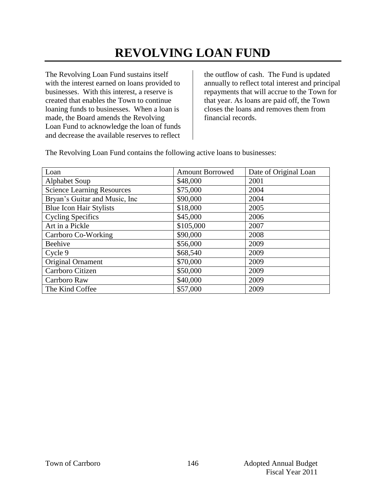# **REVOLVING LOAN FUND**

The Revolving Loan Fund sustains itself with the interest earned on loans provided to businesses. With this interest, a reserve is created that enables the Town to continue loaning funds to businesses. When a loan is made, the Board amends the Revolving Loan Fund to acknowledge the loan of funds and decrease the available reserves to reflect

the outflow of cash. The Fund is updated annually to reflect total interest and principal repayments that will accrue to the Town for that year. As loans are paid off, the Town closes the loans and removes them from financial records.

The Revolving Loan Fund contains the following active loans to businesses:

| Loan                              | <b>Amount Borrowed</b> | Date of Original Loan |
|-----------------------------------|------------------------|-----------------------|
| <b>Alphabet Soup</b>              | \$48,000               | 2001                  |
| <b>Science Learning Resources</b> | \$75,000               | 2004                  |
| Bryan's Guitar and Music, Inc.    | \$90,000               | 2004                  |
| Blue Icon Hair Stylists           | \$18,000               | 2005                  |
| <b>Cycling Specifics</b>          | \$45,000               | 2006                  |
| Art in a Pickle                   | \$105,000              | 2007                  |
| Carrboro Co-Working               | \$90,000               | 2008                  |
| Beehive                           | \$56,000               | 2009                  |
| Cycle 9                           | \$68,540               | 2009                  |
| Original Ornament                 | \$70,000               | 2009                  |
| Carrboro Citizen                  | \$50,000               | 2009                  |
| Carrboro Raw                      | \$40,000               | 2009                  |
| The Kind Coffee                   | \$57,000               | 2009                  |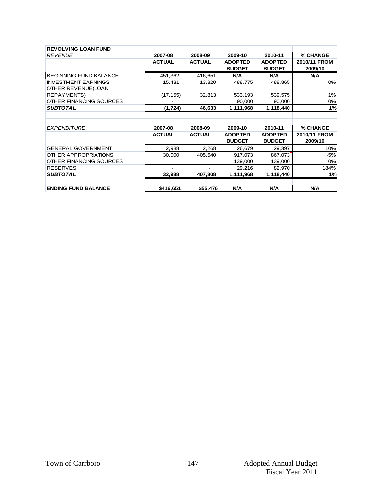| <b>REVOLVING LOAN FUND</b>    |                |               |                |                |              |
|-------------------------------|----------------|---------------|----------------|----------------|--------------|
| <b>REVENUE</b>                | 2007-08        | 2008-09       | 2009-10        | 2010-11        | % CHANGE     |
|                               | <b>ACTUAL</b>  | <b>ACTUAL</b> | <b>ADOPTED</b> | <b>ADOPTED</b> | 2010/11 FROM |
|                               |                |               | <b>BUDGET</b>  | <b>BUDGET</b>  | 2009/10      |
| <b>BEGINNING FUND BALANCE</b> | 451,362        | 416,651       | N/A            | N/A            | <b>N/A</b>   |
| <b>INVESTMENT EARNINGS</b>    | 15,431         | 13,820        | 488,775        | 488,865        | 0%           |
| OTHER REVENUE(LOAN            |                |               |                |                |              |
| <b>REPAYMENTS)</b>            | (17, 155)      | 32,813        | 533,193        | 539,575        | 1%           |
| OTHER FINANCING SOURCES       |                |               | 90,000         | 90,000         | 0%           |
| <b>SUBTOTAL</b>               | (1,724)        | 46,633        | 1,111,968      | 1,118,440      | 1%           |
|                               |                |               |                |                |              |
|                               |                |               |                |                |              |
| <b>EXPENDITURE</b>            | 2007-08        | 2008-09       | 2009-10        | 2010-11        | % CHANGE     |
|                               | <b>ACTUAL</b>  | <b>ACTUAL</b> | <b>ADOPTED</b> | <b>ADOPTED</b> | 2010/11 FROM |
|                               |                |               | <b>BUDGET</b>  | <b>BUDGET</b>  | 2009/10      |
| <b>GENERAL GOVERNMENT</b>     | 2,988          | 2,268         | 26,679         | 29,397         | 10%          |
| OTHER APPROPRIATIONS          | 30,000         | 405,540       | 917,073        | 867,073        | $-5%$        |
| OTHER FINANCING SOURCES       |                |               | 139,000        | 139,000        | 0%           |
| <b>RESERVES</b>               | $\blacksquare$ | ٠             | 29,216         | 82,970         | 184%         |
| <b>SUBTOTAL</b>               | 32,988         | 407,808       | 1,111,968      | 1,118,440      | 1%           |
|                               |                |               |                |                |              |
| <b>ENDING FUND BALANCE</b>    | \$416,651      | \$55,476      | N/A            | N/A            | <b>N/A</b>   |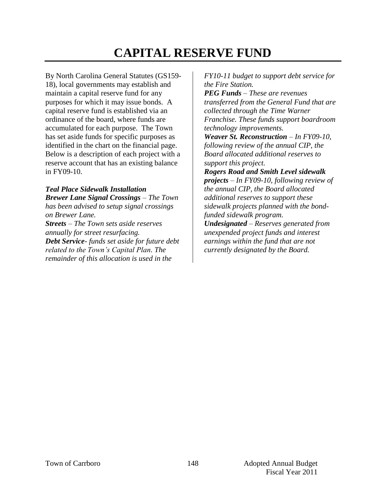## **CAPITAL RESERVE FUND**

By North Carolina General Statutes (GS159- 18), local governments may establish and maintain a capital reserve fund for any purposes for which it may issue bonds. A capital reserve fund is established via an ordinance of the board, where funds are accumulated for each purpose. The Town has set aside funds for specific purposes as identified in the chart on the financial page. Below is a description of each project with a reserve account that has an existing balance in FY09-10.

*Teal Place Sidewalk Installation Brewer Lane Signal Crossings – The Town has been advised to setup signal crossings on Brewer Lane.* 

*Streets – The Town sets aside reserves annually for street resurfacing. Debt Service- funds set aside for future debt related to the Town's Capital Plan. The remainder of this allocation is used in the* 

*FY10-11 budget to support debt service for the Fire Station.* 

*PEG Funds – These are revenues transferred from the General Fund that are collected through the Time Warner Franchise. These funds support boardroom technology improvements.* 

*Weaver St. Reconstruction – In FY09-10, following review of the annual CIP, the Board allocated additional reserves to support this project.*

*Rogers Road and Smith Level sidewalk projects – In FY09-10, following review of the annual CIP, the Board allocated additional reserves to support these sidewalk projects planned with the bondfunded sidewalk program.* 

*Undesignated – Reserves generated from unexpended project funds and interest earnings within the fund that are not currently designated by the Board.*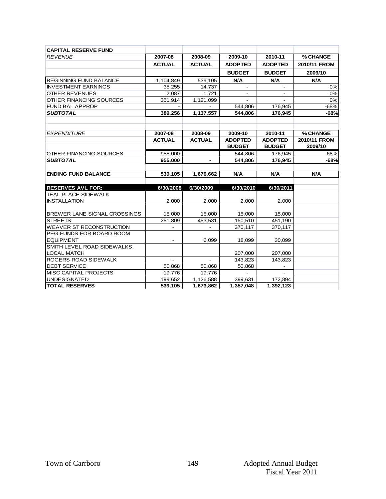| <b>CAPITAL RESERVE FUND</b>     |                |                |                |                |              |
|---------------------------------|----------------|----------------|----------------|----------------|--------------|
| <b>REVENUE</b>                  | 2007-08        | 2008-09        | 2009-10        | 2010-11        | % CHANGE     |
|                                 | <b>ACTUAL</b>  | <b>ACTUAL</b>  | <b>ADOPTED</b> | <b>ADOPTED</b> | 2010/11 FROM |
|                                 |                |                | <b>BUDGET</b>  | <b>BUDGET</b>  | 2009/10      |
| <b>BEGINNING FUND BALANCE</b>   | 1,104,849      | 539,105        | <b>N/A</b>     | <b>N/A</b>     | <b>N/A</b>   |
| <b>INVESTMENT EARNINGS</b>      | 35,255         | 14,737         |                |                | 0%           |
| <b>OTHER REVENUES</b>           | 2,087          | 1,721          |                |                | 0%           |
| OTHER FINANCING SOURCES         | 351,914        | 1,121,099      |                |                | 0%           |
| <b>FUND BAL APPROP</b>          |                |                | 544,806        | 176,945        | $-68%$       |
| <b>SUBTOTAL</b>                 | 389,256        | 1,137,557      | 544,806        | 176,945        | $-68%$       |
|                                 |                |                |                |                |              |
| <b>EXPENDITURE</b>              | 2007-08        | 2008-09        | 2009-10        | 2010-11        | % CHANGE     |
|                                 | <b>ACTUAL</b>  | <b>ACTUAL</b>  | <b>ADOPTED</b> | <b>ADOPTED</b> | 2010/11 FROM |
|                                 |                |                | <b>BUDGET</b>  | <b>BUDGET</b>  | 2009/10      |
| OTHER FINANCING SOURCES         | 955,000        |                | 544.806        | 176,945        | $-68%$       |
| <b>SUBTOTAL</b>                 | 955,000        | $\blacksquare$ | 544,806        | 176,945        | $-68%$       |
|                                 |                |                |                |                |              |
| <b>ENDING FUND BALANCE</b>      | 539,105        | 1,676,662      | N/A            | <b>N/A</b>     | <b>N/A</b>   |
|                                 |                |                |                |                |              |
| <b>RESERVES AVL FOR:</b>        | 6/30/2008      | 6/30/2009      | 6/30/2010      | 6/30/2011      |              |
| <b>TEAL PLACE SIDEWALK</b>      |                |                |                |                |              |
| <b>INSTALLATION</b>             | 2,000          | 2,000          | 2,000          | 2,000          |              |
|                                 |                |                |                |                |              |
| BREWER LANE SIGNAL CROSSINGS    | 15,000         | 15,000         | 15,000         | 15,000         |              |
| <b>STREETS</b>                  | 251,809        | 453,531        | 150,510        | 451,190        |              |
| <b>WEAVER ST RECONSTRUCTION</b> |                |                | 370,117        | 370,117        |              |
| PEG FUNDS FOR BOARD ROOM        |                |                |                |                |              |
| <b>EQUIPMENT</b>                |                | 6,099          | 18,099         | 30,099         |              |
| SMITH LEVEL ROAD SIDEWALKS,     |                |                |                |                |              |
| <b>LOCAL MATCH</b>              |                |                | 207,000        | 207,000        |              |
| ROGERS ROAD SIDEWALK            | $\overline{a}$ |                | 143,823        | 143,823        |              |
| <b>DEBT SERVICE</b>             | 50,868         | 50,868         | 50,868         |                |              |
| MISC CAPITAL PROJECTS           | 19,776         | 19,776         |                |                |              |
| <b>UNDESIGNATED</b>             | 199,652        | 1,126,588      | 399,631        | 172,894        |              |
| <b>TOTAL RESERVES</b>           | 539,105        | 1,673,862      | 1,357,048      | 1,392,123      |              |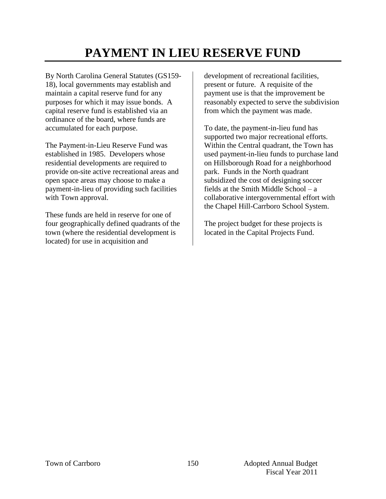## **PAYMENT IN LIEU RESERVE FUND**

By North Carolina General Statutes (GS159- 18), local governments may establish and maintain a capital reserve fund for any purposes for which it may issue bonds. A capital reserve fund is established via an ordinance of the board, where funds are accumulated for each purpose.

The Payment-in-Lieu Reserve Fund was established in 1985. Developers whose residential developments are required to provide on-site active recreational areas and open space areas may choose to make a payment-in-lieu of providing such facilities with Town approval.

These funds are held in reserve for one of four geographically defined quadrants of the town (where the residential development is located) for use in acquisition and

development of recreational facilities, present or future. A requisite of the payment use is that the improvement be reasonably expected to serve the subdivision from which the payment was made.

To date, the payment-in-lieu fund has supported two major recreational efforts. Within the Central quadrant, the Town has used payment-in-lieu funds to purchase land on Hillsborough Road for a neighborhood park. Funds in the North quadrant subsidized the cost of designing soccer fields at the Smith Middle School – a collaborative intergovernmental effort with the Chapel Hill-Carrboro School System.

The project budget for these projects is located in the Capital Projects Fund.